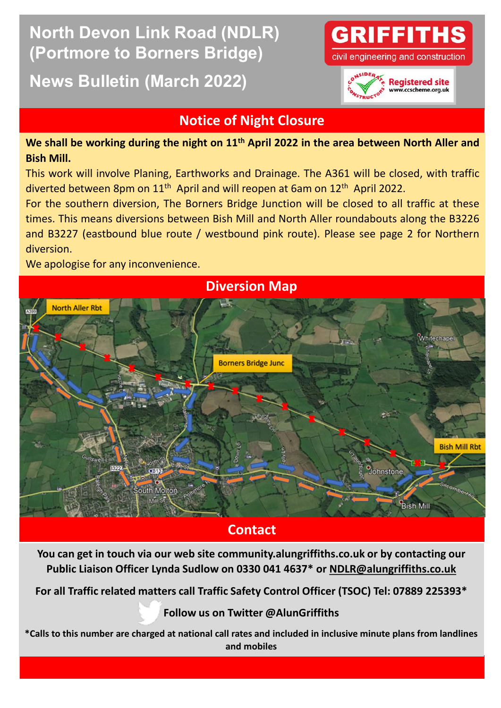## **North Devon Link Road (NDLR) (Portmore to Borners Bridge)**

## **News Bulletin (March 2022)**



civil engineering and construction



## **Notice of Night Closure**

**We shall be working during the night on 11th April 2022 in the area between North Aller and Bish Mill.**

This work will involve Planing, Earthworks and Drainage. The A361 will be closed, with traffic diverted between 8pm on 11<sup>th</sup> April and will reopen at 6am on 12<sup>th</sup> April 2022.

For the southern diversion, The Borners Bridge Junction will be closed to all traffic at these times. This means diversions between Bish Mill and North Aller roundabouts along the B3226 and B3227 (eastbound blue route / westbound pink route). Please see page 2 for Northern diversion.

We apologise for any inconvenience.



**Contact**

**You can get in touch via our web site community.alungriffiths.co.uk or by contacting our Public Liaison Officer Lynda Sudlow on 0330 041 4637\* or [NDLR@alungriffiths.co.uk](mailto:NDLR@alungriffiths.co.uk)**

**For all Traffic relate[d matter](mailto:@AlunGriffiths_)s call Traffic Safety Control Officer (TSOC) Tel: 07889 225393\***

**Follow us on Twitter @AlunGriffiths**

**\*Calls to this number are charged at national call rates and included in inclusive minute plans from landlines and mobiles**